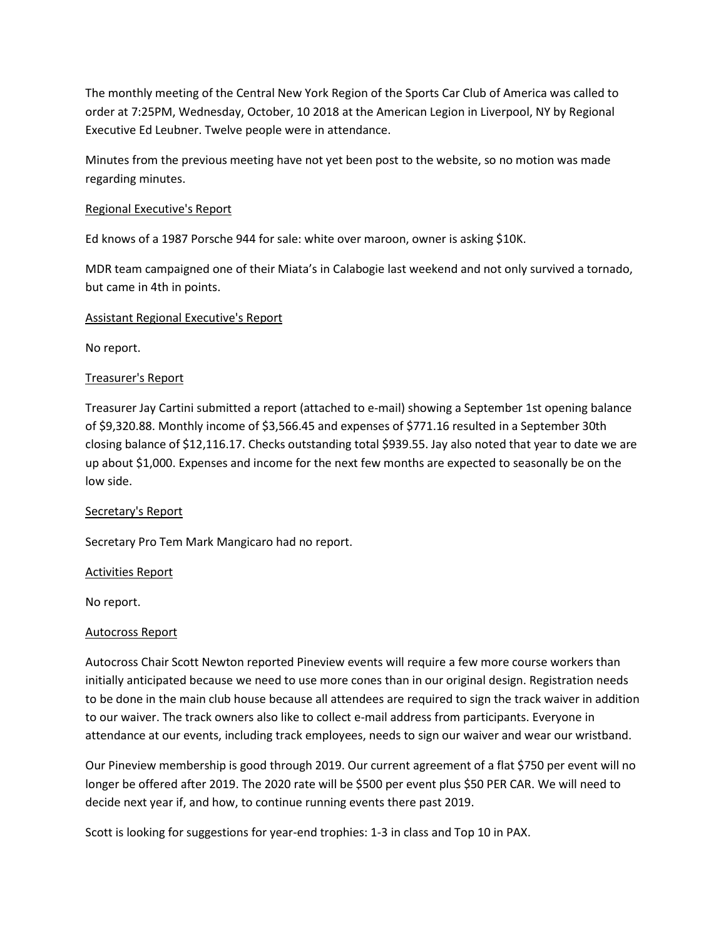The monthly meeting of the Central New York Region of the Sports Car Club of America was called to order at 7:25PM, Wednesday, October, 10 2018 at the American Legion in Liverpool, NY by Regional Executive Ed Leubner. Twelve people were in attendance.

Minutes from the previous meeting have not yet been post to the website, so no motion was made regarding minutes.

## Regional Executive's Report

Ed knows of a 1987 Porsche 944 for sale: white over maroon, owner is asking \$10K.

MDR team campaigned one of their Miata's in Calabogie last weekend and not only survived a tornado, but came in 4th in points.

## Assistant Regional Executive's Report

No report.

# Treasurer's Report

Treasurer Jay Cartini submitted a report (attached to e-mail) showing a September 1st opening balance of \$9,320.88. Monthly income of \$3,566.45 and expenses of \$771.16 resulted in a September 30th closing balance of \$12,116.17. Checks outstanding total \$939.55. Jay also noted that year to date we are up about \$1,000. Expenses and income for the next few months are expected to seasonally be on the low side.

## Secretary's Report

Secretary Pro Tem Mark Mangicaro had no report.

## Activities Report

No report.

## Autocross Report

Autocross Chair Scott Newton reported Pineview events will require a few more course workers than initially anticipated because we need to use more cones than in our original design. Registration needs to be done in the main club house because all attendees are required to sign the track waiver in addition to our waiver. The track owners also like to collect e-mail address from participants. Everyone in attendance at our events, including track employees, needs to sign our waiver and wear our wristband.

Our Pineview membership is good through 2019. Our current agreement of a flat \$750 per event will no longer be offered after 2019. The 2020 rate will be \$500 per event plus \$50 PER CAR. We will need to decide next year if, and how, to continue running events there past 2019.

Scott is looking for suggestions for year-end trophies: 1-3 in class and Top 10 in PAX.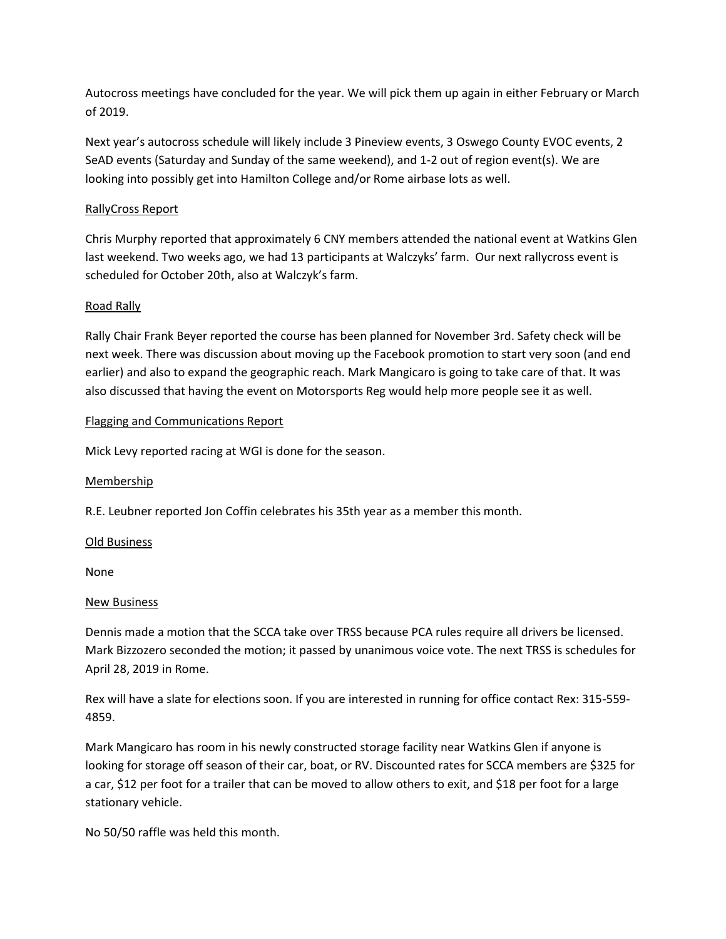Autocross meetings have concluded for the year. We will pick them up again in either February or March of 2019.

Next year's autocross schedule will likely include 3 Pineview events, 3 Oswego County EVOC events, 2 SeAD events (Saturday and Sunday of the same weekend), and 1-2 out of region event(s). We are looking into possibly get into Hamilton College and/or Rome airbase lots as well.

## RallyCross Report

Chris Murphy reported that approximately 6 CNY members attended the national event at Watkins Glen last weekend. Two weeks ago, we had 13 participants at Walczyks' farm. Our next rallycross event is scheduled for October 20th, also at Walczyk's farm.

# Road Rally

Rally Chair Frank Beyer reported the course has been planned for November 3rd. Safety check will be next week. There was discussion about moving up the Facebook promotion to start very soon (and end earlier) and also to expand the geographic reach. Mark Mangicaro is going to take care of that. It was also discussed that having the event on Motorsports Reg would help more people see it as well.

## Flagging and Communications Report

Mick Levy reported racing at WGI is done for the season.

## **Membership**

R.E. Leubner reported Jon Coffin celebrates his 35th year as a member this month.

## Old Business

None

## New Business

Dennis made a motion that the SCCA take over TRSS because PCA rules require all drivers be licensed. Mark Bizzozero seconded the motion; it passed by unanimous voice vote. The next TRSS is schedules for April 28, 2019 in Rome.

Rex will have a slate for elections soon. If you are interested in running for office contact Rex: 315-559- 4859.

Mark Mangicaro has room in his newly constructed storage facility near Watkins Glen if anyone is looking for storage off season of their car, boat, or RV. Discounted rates for SCCA members are \$325 for a car, \$12 per foot for a trailer that can be moved to allow others to exit, and \$18 per foot for a large stationary vehicle.

No 50/50 raffle was held this month.